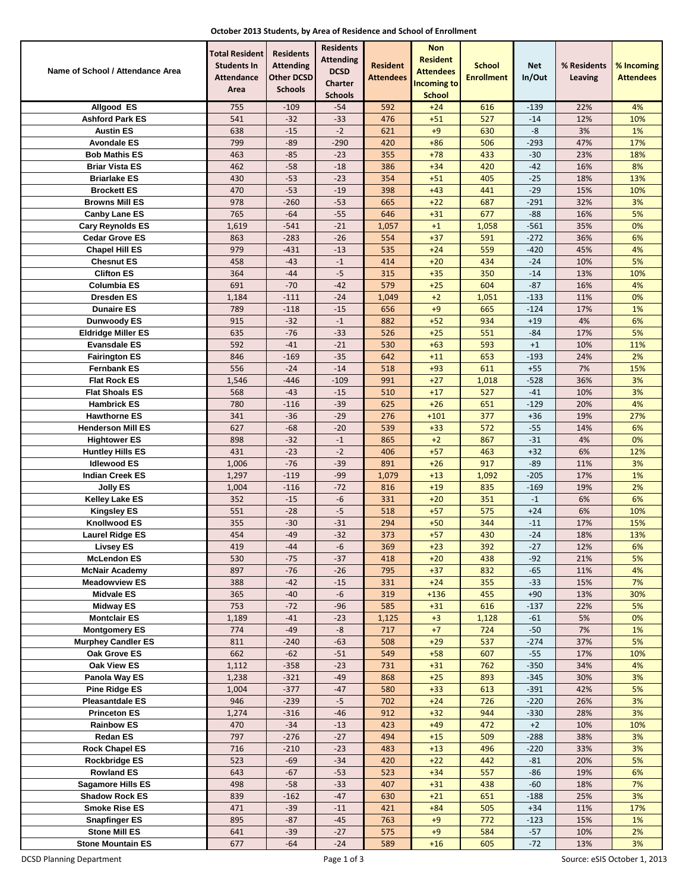|  |  | October 2013 Students, by Area of Residence and School of Enrollment |
|--|--|----------------------------------------------------------------------|
|--|--|----------------------------------------------------------------------|

|                                              | Total Resident                          | <b>Residents</b>                      | <b>Residents</b><br><b>Attending</b> |                              | <b>Non</b><br><b>Resident</b>       |                                    |                      |                        |                                |
|----------------------------------------------|-----------------------------------------|---------------------------------------|--------------------------------------|------------------------------|-------------------------------------|------------------------------------|----------------------|------------------------|--------------------------------|
| Name of School / Attendance Area             | <b>Students In</b><br><b>Attendance</b> | <b>Attending</b><br><b>Other DCSD</b> | <b>DCSD</b>                          | <b>Resident</b><br>Attendees | <b>Attendees</b>                    | <b>School</b><br><b>Enrollment</b> | <b>Net</b><br>In/Out | % Residents<br>Leaving | % Incoming<br><b>Attendees</b> |
|                                              | Area                                    | <b>Schools</b>                        | Charter                              |                              | <b>Incoming to</b><br><b>School</b> |                                    |                      |                        |                                |
| Allgood ES                                   | 755                                     | $-109$                                | <b>Schools</b><br>$-54$              | 592                          | $+24$                               | 616                                | $-139$               | 22%                    | 4%                             |
| <b>Ashford Park ES</b>                       | 541                                     | $-32$                                 | $-33$                                | 476                          | $+51$                               | 527                                | $-14$                | 12%                    | 10%                            |
| <b>Austin ES</b>                             | 638                                     | $-15$                                 | $-2$                                 | 621                          | $+9$                                | 630                                | -8                   | 3%                     | 1%                             |
| <b>Avondale ES</b>                           | 799                                     | $-89$                                 | $-290$                               | 420                          | $+86$                               | 506                                | $-293$               | 47%                    | 17%                            |
| <b>Bob Mathis ES</b>                         | 463                                     | $-85$                                 | $-23$                                | 355                          | $+78$                               | 433                                | $-30$                | 23%                    | 18%                            |
| <b>Briar Vista ES</b>                        | 462                                     | $-58$                                 | $-18$                                | 386                          | $+34$                               | 420                                | $-42$                | 16%                    | 8%                             |
| <b>Briarlake ES</b>                          | 430                                     | $-53$                                 | $-23$                                | 354                          | $+51$                               | 405                                | $-25$                | 18%                    | 13%                            |
| <b>Brockett ES</b><br><b>Browns Mill ES</b>  | 470<br>978                              | $-53$<br>$-260$                       | $-19$<br>$-53$                       | 398<br>665                   | $+43$                               | 441                                | $-29$<br>$-291$      | 15%                    | 10%<br>3%                      |
| <b>Canby Lane ES</b>                         | 765                                     | $-64$                                 | $-55$                                | 646                          | $+22$<br>$+31$                      | 687<br>677                         | $-88$                | 32%<br>16%             | 5%                             |
| Cary Reynolds ES                             | 1,619                                   | $-541$                                | $-21$                                | 1,057                        | $+1$                                | 1,058                              | $-561$               | 35%                    | 0%                             |
| <b>Cedar Grove ES</b>                        | 863                                     | $-283$                                | $-26$                                | 554                          | $+37$                               | 591                                | $-272$               | 36%                    | 6%                             |
| Chapel Hill ES                               | 979                                     | $-431$                                | $-13$                                | 535                          | $+24$                               | 559                                | $-420$               | 45%                    | 4%                             |
| <b>Chesnut ES</b>                            | 458                                     | $-43$                                 | $-1$                                 | 414                          | $+20$                               | 434                                | $-24$                | 10%                    | 5%                             |
| <b>Clifton ES</b>                            | 364                                     | $-44$                                 | $-5$                                 | 315                          | $+35$                               | 350                                | $-14$                | 13%                    | 10%                            |
| Columbia ES                                  | 691                                     | $-70$                                 | $-42$                                | 579                          | $+25$                               | 604                                | $-87$                | 16%                    | 4%                             |
| Dresden ES                                   | 1,184                                   | $-111$                                | $-24$                                | 1,049                        | $+2$                                | 1,051                              | $-133$               | 11%                    | 0%                             |
| <b>Dunaire ES</b>                            | 789                                     | $-118$                                | $-15$                                | 656                          | $+9$                                | 665                                | $-124$               | 17%                    | 1%                             |
| Dunwoody ES                                  | 915                                     | $-32$                                 | $-1$                                 | 882                          | $+52$                               | 934                                | $+19$                | 4%                     | 6%                             |
| <b>Eldridge Miller ES</b>                    | 635                                     | $-76$                                 | $-33$                                | 526                          | $+25$                               | 551                                | $-84$                | 17%                    | 5%                             |
| <b>Evansdale ES</b>                          | 592                                     | $-41$                                 | $-21$                                | 530                          | $+63$                               | 593                                | $+1$                 | 10%                    | 11%                            |
| <b>Fairington ES</b>                         | 846                                     | $-169$                                | $-35$                                | 642                          | $+11$                               | 653                                | $-193$               | 24%                    | 2%                             |
| <b>Fernbank ES</b>                           | 556                                     | $-24$                                 | $-14$                                | 518                          | $+93$                               | 611                                | $+55$                | 7%                     | 15%                            |
| <b>Flat Rock ES</b><br><b>Flat Shoals ES</b> | 1,546<br>568                            | $-446$<br>$-43$                       | -109<br>$-15$                        | 991<br>510                   | $+27$<br>$+17$                      | 1,018<br>527                       | $-528$<br>$-41$      | 36%<br>10%             | 3%<br>3%                       |
| <b>Hambrick ES</b>                           | 780                                     | $-116$                                | $-39$                                | 625                          | $+26$                               | 651                                | $-129$               | 20%                    | 4%                             |
| <b>Hawthorne ES</b>                          | 341                                     | $-36$                                 | $-29$                                | 276                          | $+101$                              | 377                                | $+36$                | 19%                    | 27%                            |
| <b>Henderson Mill ES</b>                     | 627                                     | $-68$                                 | $-20$                                | 539                          | $+33$                               | 572                                | $-55$                | 14%                    | 6%                             |
| <b>Hightower ES</b>                          | 898                                     | $-32$                                 | $-1$                                 | 865                          | $+2$                                | 867                                | $-31$                | 4%                     | 0%                             |
| <b>Huntley Hills ES</b>                      | 431                                     | $-23$                                 | $-2$                                 | 406                          | $+57$                               | 463                                | $+32$                | 6%                     | 12%                            |
| <b>Idlewood ES</b>                           | 1,006                                   | $-76$                                 | $-39$                                | 891                          | $+26$                               | 917                                | $-89$                | 11%                    | 3%                             |
| <b>Indian Creek ES</b>                       | 1,297                                   | $-119$                                | -99                                  | 1,079                        | $+13$                               | 1,092                              | $-205$               | 17%                    | 1%                             |
| <b>Jolly ES</b>                              | 1,004                                   | $-116$                                | $-72$                                | 816                          | $+19$                               | 835                                | $-169$               | 19%                    | 2%                             |
| <b>Kelley Lake ES</b>                        | 352                                     | $-15$                                 | -6                                   | 331                          | $+20$                               | 351                                | $-1$                 | 6%                     | 6%                             |
| <b>Kingsley ES</b>                           | 551                                     | $-28$                                 | $-5$                                 | 518                          | $+57$                               | 575                                | $+24$                | 6%                     | 10%                            |
| <b>Knollwood ES</b>                          | 355                                     | $-30$                                 | $-31$                                | 294                          | $+50$                               | 344                                | $-11$                | 17%                    | 15%                            |
| <b>Laurel Ridge ES</b>                       | 454                                     | $-49$                                 | $-32$                                | 373                          | $+57$                               | 430                                | $-24$                | 18%                    | 13%                            |
| <b>Livsey ES</b>                             | 419                                     | $-44$                                 | $-6$                                 | 369                          | $+23$                               | 392                                | $-27$                | 12%                    | 6%                             |
| <b>McLendon ES</b><br><b>McNair Academy</b>  | 530<br>897                              | $-75$<br>$-76$                        | $-37$<br>$-26$                       | 418<br>795                   | $+20$<br>$+37$                      | 438<br>832                         | $-92$<br>-65         | 21%<br>11%             | 5%<br>4%                       |
| <b>Meadowview ES</b>                         | 388                                     | $-42$                                 | $-15$                                | 331                          | $+24$                               | 355                                | $-33$                | 15%                    | 7%                             |
| <b>Midvale ES</b>                            | 365                                     | $-40$                                 | $-6$                                 | 319                          | $+136$                              | 455                                | $+90$                | 13%                    | 30%                            |
| Midway ES                                    | 753                                     | $-72$                                 | -96                                  | 585                          | $+31$                               | 616                                | $-137$               | 22%                    | 5%                             |
| <b>Montclair ES</b>                          | 1,189                                   | $-41$                                 | $-23$                                | 1,125                        | $+3$                                | 1,128                              | $-61$                | 5%                     | 0%                             |
| <b>Montgomery ES</b>                         | 774                                     | $-49$                                 | -8                                   | 717                          | $+7$                                | 724                                | $-50$                | 7%                     | 1%                             |
| <b>Murphey Candler ES</b>                    | 811                                     | $-240$                                | $-63$                                | 508                          | $+29$                               | 537                                | $-274$               | 37%                    | 5%                             |
| Oak Grove ES                                 | 662                                     | $-62$                                 | $-51$                                | 549                          | $+58$                               | 607                                | $-55$                | 17%                    | 10%                            |
| Oak View ES                                  | 1,112                                   | $-358$                                | $-23$                                | 731                          | $+31$                               | 762                                | $-350$               | 34%                    | 4%                             |
| Panola Way ES                                | 1,238                                   | $-321$                                | -49                                  | 868                          | $+25$                               | 893                                | $-345$               | 30%                    | 3%                             |
| <b>Pine Ridge ES</b>                         | 1,004                                   | $-377$                                | $-47$                                | 580                          | $+33$                               | 613                                | $-391$               | 42%                    | 5%                             |
| <b>Pleasantdale ES</b>                       | 946                                     | $-239$                                | $-5$                                 | 702                          | $+24$                               | 726                                | $-220$               | 26%                    | 3%                             |
| <b>Princeton ES</b>                          | 1,274                                   | $-316$                                | -46                                  | 912                          | $+32$                               | 944                                | $-330$               | 28%                    | 3%                             |
| <b>Rainbow ES</b><br><b>Redan ES</b>         | 470<br>797                              | $-34$<br>$-276$                       | $-13$<br>$-27$                       | 423<br>494                   | $+49$<br>$+15$                      | 472<br>509                         | $+2$<br>$-288$       | 10%<br>38%             | 10%<br>3%                      |
| <b>Rock Chapel ES</b>                        | 716                                     | $-210$                                | $-23$                                | 483                          | $+13$                               | 496                                | $-220$               | 33%                    | 3%                             |
| Rockbridge ES                                | 523                                     | $-69$                                 | $-34$                                | 420                          | $+22$                               | 442                                | $-81$                | 20%                    | 5%                             |
| <b>Rowland ES</b>                            | 643                                     | $-67$                                 | $-53$                                | 523                          | $+34$                               | 557                                | $-86$                | 19%                    | 6%                             |
| Sagamore Hills ES                            | 498                                     | $-58$                                 | $-33$                                | 407                          | $+31$                               | 438                                | $-60$                | 18%                    | 7%                             |
| <b>Shadow Rock ES</b>                        | 839                                     | $-162$                                | $-47$                                | 630                          | $+21$                               | 651                                | $-188$               | 25%                    | 3%                             |
| <b>Smoke Rise ES</b>                         | 471                                     | $-39$                                 | $-11$                                | 421                          | $+84$                               | 505                                | $+34$                | 11%                    | 17%                            |
| <b>Snapfinger ES</b>                         | 895                                     | $-87$                                 | -45                                  | 763                          | $+9$                                | 772                                | $-123$               | 15%                    | 1%                             |
| <b>Stone Mill ES</b>                         | 641                                     | $-39$                                 | $-27$                                | 575                          | $+9$                                | 584                                | $-57$                | 10%                    | 2%                             |
| <b>Stone Mountain ES</b>                     | 677                                     | $-64$                                 | $-24$                                | 589                          | $+16$                               | 605                                | $-72$                | 13%                    | 3%                             |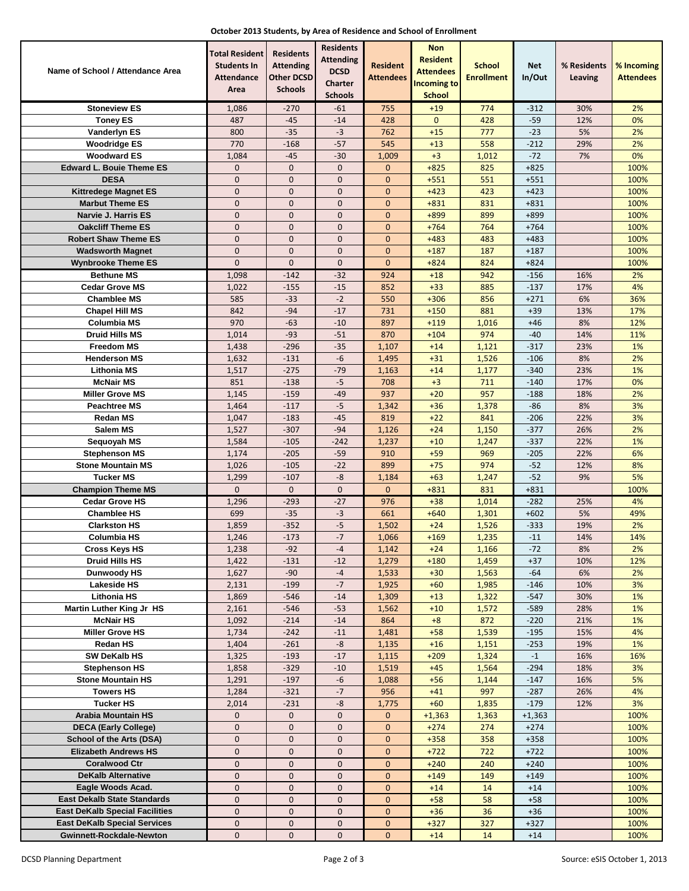| October 2013 Students, by Area of Residence and School of Enrollment |  |  |  |  |
|----------------------------------------------------------------------|--|--|--|--|
|----------------------------------------------------------------------|--|--|--|--|

| Name of School / Attendance Area                                | <b>Total Resident</b><br><b>Students In</b><br><b>Attendance</b><br>Area | <b>Residents</b><br><b>Attending</b><br><b>Other DCSD</b><br><b>Schools</b> | <b>Residents</b><br><b>Attending</b><br><b>DCSD</b><br>Charter<br><b>Schools</b> | <b>Resident</b><br>Attendees | <b>Non</b><br><b>Resident</b><br><b>Attendees</b><br><b>Incoming to</b><br><b>School</b> | <b>School</b><br><b>Enrollment</b> | Net<br>In/Out    | % Residents<br>Leaving | % Incoming<br><b>Attendees</b> |
|-----------------------------------------------------------------|--------------------------------------------------------------------------|-----------------------------------------------------------------------------|----------------------------------------------------------------------------------|------------------------------|------------------------------------------------------------------------------------------|------------------------------------|------------------|------------------------|--------------------------------|
| <b>Stoneview ES</b>                                             | 1,086                                                                    | -270                                                                        | $-61$                                                                            | 755                          | $+19$                                                                                    | 774                                | $-312$           | 30%                    | 2%                             |
| <b>Toney ES</b>                                                 | 487                                                                      | $-45$                                                                       | $-14$                                                                            | 428                          | $\mathbf 0$                                                                              | 428                                | $-59$            | 12%                    | 0%                             |
| Vanderlyn ES                                                    | 800                                                                      | $-35$                                                                       | $-3$                                                                             | 762                          | $+15$                                                                                    | 777                                | $-23$            | 5%                     | 2%                             |
| <b>Woodridge ES</b>                                             | 770                                                                      | $-168$                                                                      | $-57$                                                                            | 545                          | $+13$                                                                                    | 558                                | $-212$           | 29%                    | 2%                             |
| <b>Woodward ES</b>                                              | 1,084                                                                    | $-45$                                                                       | $-30$                                                                            | 1,009                        | $+3$                                                                                     | 1,012                              | $-72$            | 7%                     | 0%                             |
| <b>Edward L. Bouie Theme ES</b>                                 | $\mathbf{0}$                                                             | $\overline{0}$                                                              | $\mathbf{0}$                                                                     | $\overline{0}$               | $+825$                                                                                   | 825                                | $+825$           |                        | 100%                           |
| <b>DESA</b>                                                     | $\mathbf 0$                                                              | $\mathbf{0}$                                                                | $\mathbf 0$                                                                      | $\mathbf{0}$                 | $+551$                                                                                   | 551                                | $+551$           |                        | 100%                           |
| <b>Kittredege Magnet ES</b>                                     | $\mathbf{0}$                                                             | $\mathbf{0}$                                                                | $\mathbf{0}$                                                                     | $\mathbf{0}$                 | $+423$                                                                                   | 423                                | $+423$           |                        | 100%                           |
| <b>Marbut Theme ES</b>                                          | $\mathbf{0}$                                                             | $\overline{0}$                                                              | $\mathbf{0}$                                                                     | $\mathbf{0}$                 | $+831$                                                                                   | 831                                | $+831$           |                        | 100%                           |
| Narvie J. Harris ES                                             | $\mathbf{0}$                                                             | $\mathbf{0}$                                                                | $\mathbf{0}$                                                                     | $\mathbf{0}$                 | $+899$                                                                                   | 899                                | +899             |                        | 100%                           |
| <b>Oakcliff Theme ES</b>                                        | $\mathbf{0}$                                                             | $\mathbf{0}$                                                                | $\mathbf{0}$                                                                     | $\mathbf{0}$                 | $+764$                                                                                   | 764                                | $+764$           |                        | 100%                           |
| <b>Robert Shaw Theme ES</b>                                     | $\mathbf{0}$                                                             | $\mathbf{0}$                                                                | $\mathbf{0}$                                                                     | $\mathbf{0}$                 | $+483$                                                                                   | 483                                | $+483$           |                        | 100%                           |
| <b>Wadsworth Magnet</b>                                         | $\overline{0}$                                                           | $\overline{0}$                                                              | $\mathbf{0}$                                                                     | $\mathbf{0}$                 | $+187$                                                                                   | 187                                | $+187$           |                        | 100%                           |
| <b>Wynbrooke Theme ES</b>                                       | $\overline{0}$                                                           | $\overline{0}$                                                              | $\mathbf 0$                                                                      | $\mathbf{0}$                 | $+824$                                                                                   | 824                                | $+824$           |                        | 100%                           |
| <b>Bethune MS</b>                                               | 1,098                                                                    | $-142$                                                                      | $-32$                                                                            | 924                          | $+18$                                                                                    | 942                                | $-156$           | 16%                    | 2%<br>4%                       |
| <b>Cedar Grove MS</b><br><b>Chamblee MS</b>                     | 1,022<br>585                                                             | $-155$<br>$-33$                                                             | $-15$<br>$-2$                                                                    | 852<br>550                   | $+33$<br>$+306$                                                                          | 885<br>856                         | $-137$<br>$+271$ | 17%<br>6%              | 36%                            |
| <b>Chapel Hill MS</b>                                           | 842                                                                      | $-94$                                                                       | $-17$                                                                            | 731                          | $+150$                                                                                   | 881                                | $+39$            | 13%                    | 17%                            |
| <b>Columbia MS</b>                                              | 970                                                                      | $-63$                                                                       | $-10$                                                                            | 897                          | $+119$                                                                                   | 1,016                              | $+46$            | 8%                     | 12%                            |
| <b>Druid Hills MS</b>                                           | 1,014                                                                    | $-93$                                                                       | $-51$                                                                            | 870                          | $+104$                                                                                   | 974                                | $-40$            | 14%                    | 11%                            |
| <b>Freedom MS</b>                                               | 1,438                                                                    | $-296$                                                                      | $-35$                                                                            | 1,107                        | $+14$                                                                                    | 1,121                              | $-317$           | 23%                    | 1%                             |
| <b>Henderson MS</b>                                             | 1,632                                                                    | $-131$                                                                      | -6                                                                               | 1,495                        | $+31$                                                                                    | 1,526                              | $-106$           | 8%                     | 2%                             |
| Lithonia MS                                                     | 1,517                                                                    | $-275$                                                                      | $-79$                                                                            | 1,163                        | $+14$                                                                                    | 1,177                              | $-340$           | 23%                    | 1%                             |
| <b>McNair MS</b>                                                | 851                                                                      | $-138$                                                                      | $-5$                                                                             | 708                          | $+3$                                                                                     | 711                                | $-140$           | 17%                    | 0%                             |
| <b>Miller Grove MS</b>                                          | 1,145                                                                    | $-159$                                                                      | $-49$                                                                            | 937                          | $+20$                                                                                    | 957                                | $-188$           | 18%                    | 2%                             |
| <b>Peachtree MS</b>                                             | 1,464                                                                    | $-117$                                                                      | $-5$                                                                             | 1,342                        | $+36$                                                                                    | 1,378                              | $-86$            | 8%                     | 3%                             |
| <b>Redan MS</b>                                                 | 1,047                                                                    | $-183$                                                                      | $-45$                                                                            | 819                          | $+22$                                                                                    | 841                                | $-206$           | 22%                    | 3%                             |
| Salem MS                                                        | 1,527                                                                    | $-307$                                                                      | $-94$                                                                            | 1,126                        | $+24$                                                                                    | 1,150                              | $-377$           | 26%                    | 2%                             |
| Sequoyah MS                                                     | 1,584                                                                    | $-105$                                                                      | $-242$                                                                           | 1,237                        | $+10$                                                                                    | 1,247                              | $-337$           | 22%                    | 1%                             |
| <b>Stephenson MS</b><br><b>Stone Mountain MS</b>                | 1,174                                                                    | $-205$                                                                      | $-59$                                                                            | 910                          | $+59$                                                                                    | 969                                | $-205$           | 22%                    | 6%                             |
| <b>Tucker MS</b>                                                | 1,026<br>1,299                                                           | $-105$<br>$-107$                                                            | $-22$<br>-8                                                                      | 899<br>1,184                 | $+75$<br>$+63$                                                                           | 974<br>1,247                       | $-52$<br>$-52$   | 12%<br>9%              | 8%<br>5%                       |
| <b>Champion Theme MS</b>                                        | $\mathbf 0$                                                              | $\mathbf 0$                                                                 | $\mathbf 0$                                                                      | 0                            | $+831$                                                                                   | 831                                | $+831$           |                        | 100%                           |
| <b>Cedar Grove HS</b>                                           | 1,296                                                                    | $-293$                                                                      | -27                                                                              | 976                          | $+38$                                                                                    | 1,014                              | $-282$           | 25%                    | 4%                             |
| <b>Chamblee HS</b>                                              | 699                                                                      | $-35$                                                                       | $-3$                                                                             | 661                          | $+640$                                                                                   | 1,301                              | $+602$           | 5%                     | 49%                            |
| <b>Clarkston HS</b>                                             | 1,859                                                                    | $-352$                                                                      | $-5$                                                                             | 1,502                        | $+24$                                                                                    | 1,526                              | $-333$           | 19%                    | 2%                             |
| Columbia HS                                                     | 1,246                                                                    | $-173$                                                                      | $-7$                                                                             | 1,066                        | $+169$                                                                                   | 1,235                              | $-11$            | 14%                    | 14%                            |
| <b>Cross Keys HS</b>                                            | 1,238                                                                    | $-92$                                                                       | -4                                                                               | 1,142                        | $+24$                                                                                    | 1,166                              | $-72$            | 8%                     | 2%                             |
| Druid Hills HS                                                  | 1,422                                                                    | $-131$                                                                      | $-12$                                                                            | 1,279                        | $+180$                                                                                   | 1,459                              | $+37$            | 10%                    | 12%                            |
| Dunwoody HS                                                     | 1,627                                                                    | $-90$                                                                       | $-4$                                                                             | 1,533                        | $+30$                                                                                    | 1,563                              | $-64$            | 6%                     | 2%                             |
| <b>Lakeside HS</b>                                              | 2,131                                                                    | $-199$                                                                      | $-7$                                                                             | 1,925                        | $+60$                                                                                    | 1,985                              | $-146$           | 10%                    | 3%                             |
| Lithonia HS                                                     | 1,869                                                                    | $-546$                                                                      | $-14$                                                                            | 1,309                        | $+13$                                                                                    | 1,322                              | $-547$           | 30%                    | 1%                             |
| Martin Luther King Jr HS                                        | 2,161                                                                    | $-546$                                                                      | $-53$                                                                            | 1,562                        | $+10$                                                                                    | 1,572                              | $-589$           | 28%                    | 1%                             |
| <b>McNair HS</b>                                                | 1,092                                                                    | $-214$                                                                      | $-14$                                                                            | 864                          | $+8$                                                                                     | 872                                | $-220$           | 21%                    | 1%                             |
| <b>Miller Grove HS</b><br>Redan HS                              | 1,734                                                                    | $-242$<br>$-261$                                                            | $-11$<br>-8                                                                      | 1,481                        | $+58$                                                                                    | 1,539                              | $-195$<br>$-253$ | 15%<br>19%             | 4%<br>1%                       |
| SW DeKalb HS                                                    | 1,404<br>1,325                                                           | $-193$                                                                      | $-17$                                                                            | 1,135<br>1,115               | $+16$<br>$+209$                                                                          | 1,151<br>1,324                     | $-1$             | 16%                    | 16%                            |
| <b>Stephenson HS</b>                                            | 1,858                                                                    | $-329$                                                                      | $-10$                                                                            | 1,519                        | $+45$                                                                                    | 1,564                              | $-294$           | 18%                    | 3%                             |
| <b>Stone Mountain HS</b>                                        | 1,291                                                                    | $-197$                                                                      | -6                                                                               | 1,088                        | $+56$                                                                                    | 1,144                              | $-147$           | 16%                    | 5%                             |
| <b>Towers HS</b>                                                | 1,284                                                                    | $-321$                                                                      | $-7$                                                                             | 956                          | $+41$                                                                                    | 997                                | $-287$           | 26%                    | 4%                             |
| <b>Tucker HS</b>                                                | 2,014                                                                    | $-231$                                                                      | -8                                                                               | 1,775                        | $+60$                                                                                    | 1,835                              | $-179$           | 12%                    | 3%                             |
| <b>Arabia Mountain HS</b>                                       | 0                                                                        | $\mathbf 0$                                                                 | $\mathbf 0$                                                                      | $\mathbf{0}$                 | $+1,363$                                                                                 | 1,363                              | $+1,363$         |                        | 100%                           |
| <b>DECA (Early College)</b>                                     | 0                                                                        | 0                                                                           | $\mathbf 0$                                                                      | $\mathbf{0}$                 | $+274$                                                                                   | 274                                | $+274$           |                        | 100%                           |
| School of the Arts (DSA)                                        | $\mathbf 0$                                                              | $\mathbf 0$                                                                 | $\mathbf 0$                                                                      | $\mathbf{0}$                 | $+358$                                                                                   | 358                                | $+358$           |                        | 100%                           |
| <b>Elizabeth Andrews HS</b>                                     | $\mathbf 0$                                                              | $\mathbf{0}$                                                                | $\mathbf 0$                                                                      | $\mathbf{0}$                 | $+722$                                                                                   | 722                                | $+722$           |                        | 100%                           |
| <b>Coralwood Ctr</b>                                            | $\mathbf 0$                                                              | 0                                                                           | 0                                                                                | $\mathbf{0}$                 | $+240$                                                                                   | 240                                | $+240$           |                        | 100%                           |
| <b>DeKalb Alternative</b>                                       | $\boldsymbol{0}$                                                         | 0                                                                           | $\mathbf 0$                                                                      | $\mathbf{0}$                 | $+149$                                                                                   | 149                                | $+149$           |                        | 100%                           |
| Eagle Woods Acad.                                               | $\mathbf 0$                                                              | 0                                                                           | $\mathbf 0$                                                                      | 0                            | $+14$                                                                                    | 14                                 | $+14$            |                        | 100%                           |
| <b>East Dekalb State Standards</b>                              | $\boldsymbol{0}$                                                         | $\mathbf 0$                                                                 | $\pmb{0}$                                                                        | $\mathbf 0$                  | $+58$                                                                                    | 58                                 | $+58$            |                        | 100%                           |
| <b>East DeKalb Special Facilities</b>                           | $\pmb{0}$                                                                | $\mathbf 0$                                                                 | $\mathbf 0$                                                                      | $\mathbf{0}$                 | $+36$                                                                                    | 36                                 | $+36$            |                        | 100%                           |
| <b>East DeKalb Special Services</b><br>Gwinnett-Rockdale-Newton | $\pmb{0}$<br>$\pmb{0}$                                                   | 0<br>0                                                                      | 0<br>0                                                                           | 0<br>$\mathbf{0}$            | $+327$<br>$+14$                                                                          | 327<br>14                          | $+327$<br>$+14$  |                        | 100%<br>100%                   |
|                                                                 |                                                                          |                                                                             |                                                                                  |                              |                                                                                          |                                    |                  |                        |                                |